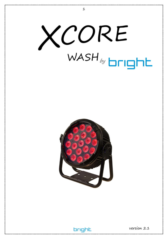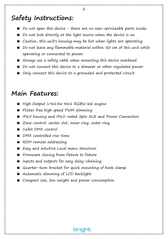# Safety Instructions:

- O Do not open this device there are no user-serviceable parts inside.
- O Do not look directly at the light source when the device is on.
- O Caution, this unit's housing may be hot when lights are operating.
- O Do not leave any flammable material within 50 cm of this unit while operating or connected to power.
- O Always use a safety cable when mounting this device overhead.
- O Do not connect this device to a dimmer or other regulated power
- $\bullet$  Only connect this device to a grounded and protected circuit.

## Main Features:

- O High Output 19x15w 4in1 RGBW led-engine
- **•** Flicker free high speed PWM dimming
- O IP65 housing and IP65-rated 5pin XLR and Power Connectors
- O Zone control: center dot, inner ring, outer ring
- $\bullet$  16 bit DMX control
- O DMX controlled rise-time
- **O** RDM remote addressing
- O Easy and intuitive Local menu structure.
- O Firmware cloning from fixture to fixture
- O Inputs and outputs for easy daisy-chaining.
- O Quarter-turn bracket for quick mounting of hook clamp.

brioht

- O Automatic dimming of LCD backlight.
- O Compact size, low weight and power consumption

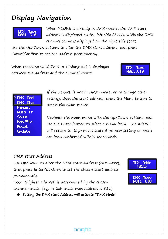# Display Navigation



When XCORE is already in DMX-mode, the DMX start address is displayed on the left side (Axxx), while the DMX channel count is displayed on the right side (Cxx).

Use the Up/Down buttons to alter the DMX start address, and press Enter/Confirm to set the address permanently.

When receiving valid DMX, a blinking dot is displayed between the address and the channel count:

#### **DMX Rdd** DMX Cha Manual **Auto** Pri Sound Mas/Sla Reset. **I ledate**

If the XCORE is not in DMX-mode, or to change other settings than the start address, press the Menu button to access the main menu:

Navigate the main menu with the Up/Down buttons, and use the Enter button to select a menu item. The XCORE will return to its previous state if no new setting or mode has been confirmed within 10 seconds.

#### DMX start Address

Use Up/Down to alter the DMX start Address (001→xxx), then press Enter/Confirm to set the chosen start address permanently.

"xxx" (highest address) is determined by the chosen channel-mode. (e.g. in 2ch mode max address is 511)

O Setting the DMX start Address will activate "DMX Mode"

bright



DMX Mode R001.C10

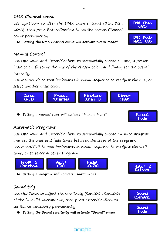

Use Up/Down to alter the DMX channel count (2ch, 3ch, 10ch), then press Enter/Confirm to set the chosen Channel count permanently.

O Setting the DMX Channel count will activate "DMX Mode"

### Manual Control

Use Up/Down and Enter/Confirm to sequentially choose a Zone, a preset basic color, finetune the hue of the chosen color, and finally set the overall intensity.

Use Menu/Exit to step backwards in menu-sequence to readjust the hue, or select another basic color.



O Setting a manual color will activate "Manual Mode"

### Automatic Programs

Use Up/Down and Enter/Confirm to sequentially choose an Auto program and set the wait and fade times between the steps of the program. Use Menu/Exit to step backwards in menu-sequence to readjust the wait time, or to select another Program.

brioht



O Setting a program will activate "Auto" mode

## Sound trig

Use Up/Down to adjust the sensitivity (Sen000→Sen100) of the in-build microphone, then press Enter/Confirm to set Sound sensitivity permanently.

O Setting the Sound sensitivity will activate "Sound" mode



Auto:

-2 Rainbow





Manual Mode

DMX Chan

4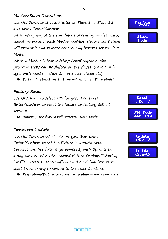#### Master/Slave Operation

Use Up/Down to choose Master or Slave  $1 \rightarrow$  Slave 12, and press Enter/Confirm.

5

When using any of the standalone operating modes: auto, sound, or manual with Master enabled, the Master fixture will transmit and remote control any fixtures set to Slave Mode.

When a Master is transmitting AutoPrograms, the program steps can be shifted on the slaves (Slave  $1 = in$ sync with master, slave  $2 =$  one step ahead etc)

O Setting Master/Slave to Slave will activate "Slave Mode"

#### Factory Reset

Use Up/Down to select <Y> for yes, then press Enter/Confirm to reset the fixture to factory default settings.

O Resetting the fixture will activate "DMX Mode"

#### Firmware Update

Use Up/Down to select <Y> for yes, then press Enter/Confirm to set the fixture in update mode. Connect another fixture (unpowered) with 5pin, then apply power. When the second fixture displays "Waiting for file", Press Enter/Confirm on the original fixture to start transferring firmware to the second fixture.

O Press Menu/Exit twice to return to Main menu when done

brioht







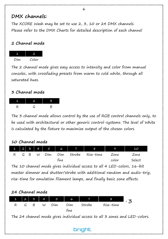## DMX channels:

The XCORE Wash may be set to use 2, 3, 10 or 24 DMX channels. Please refer to the DMX Charts for detailed description of each channel

#### 2 Channel mode



The 2 channel mode gives easy access to intensity and color from manual consoles, with crossfading presets from warm to cold white, through all saturated hues.

#### 3 Channel mode



The 3 channel mode allows control by the use of RGB control channels only, to be used with architectural or other generic control-systems. The level of White is calculated by the fixture to maximize output of the chosen colors.

### 10 Channel mode

|  |     |   |     |      | $1 \mid 2 \mid 3 \mid 4 \mid 5 \mid 6 \mid 7 \mid 1$ | 8                    | 9     | 10     |
|--|-----|---|-----|------|------------------------------------------------------|----------------------|-------|--------|
|  | G B | W | Dim |      |                                                      | Dim Strobe Rise-time | Zone  | Zone   |
|  |     |   |     | fine |                                                      |                      | color | Select |

The 10 channel mode gives individual access to all 4 LED-colors, 16-bit master dimmer and shutter/strobe with additional random and audio-trig, rise-time for emulation filament lamps, and finally basic zone effects.



The 24 channel mode gives individual access to all 3 zones and LED-colors.

brioht

6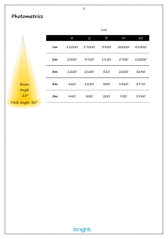## Photometrics

7

|                                                        |    |       |       | --   |       |       |
|--------------------------------------------------------|----|-------|-------|------|-------|-------|
| $\mathbf{r}_\mathrm{a}$<br>$\sigma_{\rm{1D}}$<br>18.11 |    | R     | G     | B    | W     | Al(   |
|                                                        | 1m | 11000 | 17000 | 3900 | 20000 | 41000 |
|                                                        | 2m | 2500  | 4700  | 1150 | 5700  | 12000 |
|                                                        | Зm | 1200  | 2100  | 525  | 2600  | 5240  |
| <b>Beam</b><br>Angle                                   | 4m | 660   | 1220  | 300  | 1460  | 2970  |
| $25^{\circ}$                                           | 5m | 440   | 800   | 200  | 950   | 1940  |
| Field Angle: 32°                                       |    |       |       |      |       |       |

#### Lux

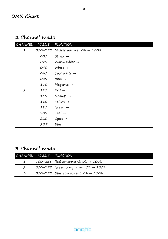## DMX Chart

## 2 Channel mode

| CHANNEL        | <b>VALUE</b> | <b>FUNCTION</b>                               |
|----------------|--------------|-----------------------------------------------|
| 1              |              | 000-255 Master dimmer $0\% \rightarrow 100\%$ |
|                | 000          | Straw $\rightarrow$                           |
|                | 020          | Warm white $\rightarrow$                      |
|                | 040          | White $\rightarrow$                           |
|                | 060          | Cool white $\rightarrow$                      |
|                | 080          | Blue $\rightarrow$                            |
|                | 100          | Magenta $\rightarrow$                         |
| $\overline{2}$ | 120          | $Red \rightarrow$                             |
|                | 140          | Orange $\rightarrow$                          |
|                | 160          | $Yellow \rightarrow$                          |
|                | 180          | Green $\rightarrow$                           |
|                | 200          | $Teal \rightarrow$                            |
|                | 220          | Cyan $\rightarrow$                            |
|                | 255          | Blue                                          |

## 3 Channel mode

|              | CHANNEL VALUE FUNCTION                             |
|--------------|----------------------------------------------------|
| $\mathbf{1}$ | $000-255$ Red component: $0\% \rightarrow 100\%$   |
|              | $000-255$ Green component: $0\% \rightarrow 100\%$ |
| 3            | $000-255$ Blue component: $0\% \rightarrow 100\%$  |

bright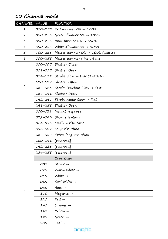#### 9

## 10 Channel mode

| CHANNEL VALUE |         | <b>FUNCTION</b>                                      |
|---------------|---------|------------------------------------------------------|
| 1             |         | $000-255$ Red dimmer $0\% \rightarrow 100\%$         |
| 2             |         | $000-255$ Green dimmer $0\% \rightarrow 100\%$       |
| 3             |         | $000-255$ Blue dimmer $0\% \rightarrow 100\%$        |
| 4             |         | $000-255$ White dimmer $0\% \rightarrow 100\%$       |
| 5             |         | 000-255 Master dimmer 0% $\rightarrow$ 100% (coarse) |
| 6             |         | 000-255 Master dimmer (fine 16bit)                   |
|               | 000-007 | Shutter Closed                                       |
|               |         | 008-015 Shutter Open                                 |
|               |         | $016 - 119$ Strobe Slow $\rightarrow$ Fast (1-25Hz)  |
|               |         | 120-127 Shutter Open                                 |
| 7             |         | 128-183 Strobe Random Slow $\rightarrow$ Fast        |
|               |         | 184-191 Shutter Open                                 |
|               |         | 192-247 Strobe Audio Slow $\rightarrow$ Fast         |
|               |         | 248-255 Shutter Open                                 |
|               | 000-031 | Instant response                                     |
|               | 032-063 | Short rise-time                                      |
|               | 064-095 | Medium rise-time                                     |
| 8             |         | 096-127 Long rise-time                               |
|               | 128-159 | Extra-long rise-time                                 |
|               | 160-191 | [reserved]                                           |
|               | 192-223 | [reserved]                                           |
|               | 224-255 | [reserved]                                           |
|               |         | Zone Color                                           |
|               | 000     | Straw $\rightarrow$                                  |
|               | 020     | Warm white $\rightarrow$                             |
|               | 040     | White $\rightarrow$                                  |
|               | 060     | Cool white $\rightarrow$                             |
| 9             | 080     | Blue $\rightarrow$                                   |
|               | 100     | $Magenta \rightarrow$                                |
|               | 120     | $Red \rightarrow$                                    |
|               | 140     | Orange →                                             |
|               | 160     | Yellow $\rightarrow$                                 |
|               | 180     | Green $\rightarrow$                                  |
|               | 200     | Teal $\rightarrow$                                   |
|               |         | bright                                               |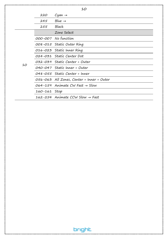|    |              | 10                                           |
|----|--------------|----------------------------------------------|
|    | 220          | $Cyan \rightarrow$                           |
|    | 245          | $Blue \rightarrow$                           |
|    | 255          | Black                                        |
|    |              | Zone Select                                  |
|    |              | 000-007 No function                          |
|    |              | 008-015 Static Outer Ring                    |
|    |              | 016-023 Static Inner Ring                    |
|    |              | 024-031 Static Center Dot                    |
| 10 |              | 032-039 Static Center + Outer                |
|    |              | 040-047 Static Inner + Outer                 |
|    |              | 048-055 Static Center + Inner                |
|    |              | O56-O63 All Zones, Center + Inner + Outer    |
|    |              | $064-159$ Animate CW Fast $\rightarrow$ Slow |
|    | 160-161 Stop |                                              |
|    |              | 162-254 Animate CCW Slow $\rightarrow$ Fast  |

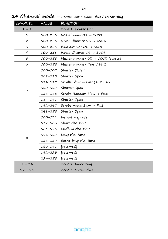|                |         | Z4 CNUNNEI MOUE – Center Dot / Inner Ring / Outer Ring |
|----------------|---------|--------------------------------------------------------|
| CHANNEL        | VALUE   | <b>FUNCTION</b>                                        |
| $1 - 8$        |         | Zone 1: Center Dot                                     |
| 1              | 000-255 | Red dimmer $O\% \rightarrow 100\%$                     |
| 2              | 000-255 | Green dimmer $O\% \rightarrow 100\%$                   |
| 3              | 000-255 | Blue dimmer $O\% \rightarrow 100\%$                    |
| $\overline{4}$ | 000-255 | White dimmer $O\% \rightarrow 100\%$                   |
| 5              | 000-255 | Master dimmer $O\% \rightarrow 100\%$ (coarse)         |
| 6              | 000-255 | Master dimmer (fine 16bit)                             |
|                | 000-007 | Shutter Closed                                         |
|                | 008-015 | Shutter Open                                           |
|                | 016-119 | Strobe Slow $\rightarrow$ Fast (1-25Hz)                |
|                | 120-127 | Shutter Open                                           |
| 7              | 128-183 | Strobe Random Slow $\rightarrow$ Fast                  |
|                | 184-191 | Shutter Open                                           |
|                | 192-247 | Strobe Audio Slow $\rightarrow$ Fast                   |
|                | 248-255 | Shutter Open                                           |
|                | 000-031 | Instant response                                       |
|                | 032-063 | Short rise-time                                        |
|                | 064-095 | Medium rise-time                                       |
|                | 096-127 | Long rise-time                                         |
| 8              | 128-159 | Extra-long rise-time                                   |
|                | 160-191 | [reserved]                                             |
|                | 192-223 | [reserved]                                             |
|                | 224-255 | [reserved]                                             |
| $9 - 16$       |         | Zone 2: Inner Ring                                     |
| $17 - 24$      |         | Zone 3: Outer Ring                                     |

## 24 Channel mode – Center Dot / Inner Ring / Outer Ring

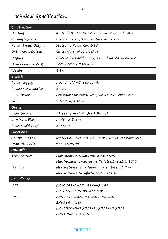# Technical Specification:

| IP65 Black Die-cast Aluminum Body and Yoke<br>Passive fanless, Temperature protection<br>Seetronic PowerKon IP65<br>Seetronic 5-pin XLR IP65<br>Blue/white Backlit LCD, auto-dimmed when idle.<br>102 x 370 x 380 mm |
|----------------------------------------------------------------------------------------------------------------------------------------------------------------------------------------------------------------------|
|                                                                                                                                                                                                                      |
|                                                                                                                                                                                                                      |
|                                                                                                                                                                                                                      |
|                                                                                                                                                                                                                      |
|                                                                                                                                                                                                                      |
|                                                                                                                                                                                                                      |
| 9.6kg                                                                                                                                                                                                                |
|                                                                                                                                                                                                                      |
| 100-240V AC, 50/60 Hz                                                                                                                                                                                                |
| 250W                                                                                                                                                                                                                 |
| Constant Current Driver, 1280Hz (Flicker Free)                                                                                                                                                                       |
| T 3.15 A, 250 V                                                                                                                                                                                                      |
|                                                                                                                                                                                                                      |
| 19 pcs of 4in1 RGBW 15W LED                                                                                                                                                                                          |
| 1940lux @ 5m                                                                                                                                                                                                         |
| $25^{\circ}/35^{\circ}$                                                                                                                                                                                              |
|                                                                                                                                                                                                                      |
| DMX512, RDM, Manual, Auto, Sound, Master/Slave                                                                                                                                                                       |
| 2/3/10/20CH                                                                                                                                                                                                          |
|                                                                                                                                                                                                                      |
| Max ambient temperature Ta: 40°C                                                                                                                                                                                     |
| Max housing temperature Tc (steady state): 80°C                                                                                                                                                                      |
| Min. distance from flammable surfaces: 0.5 m                                                                                                                                                                         |
| Min. distance to lighted object: 0.1 m                                                                                                                                                                               |
|                                                                                                                                                                                                                      |
| EN60598-2-17:1989+A2:1991                                                                                                                                                                                            |
| EN60598-1:2008+A11:2009                                                                                                                                                                                              |
| EN55015:2006+A1:2007+A2:2009                                                                                                                                                                                         |
| EN61547:2009                                                                                                                                                                                                         |
| EN61000-3-2:2006+A12009+A2:2009                                                                                                                                                                                      |
| EN61000-3-3:2008                                                                                                                                                                                                     |
|                                                                                                                                                                                                                      |
| bright                                                                                                                                                                                                               |
|                                                                                                                                                                                                                      |